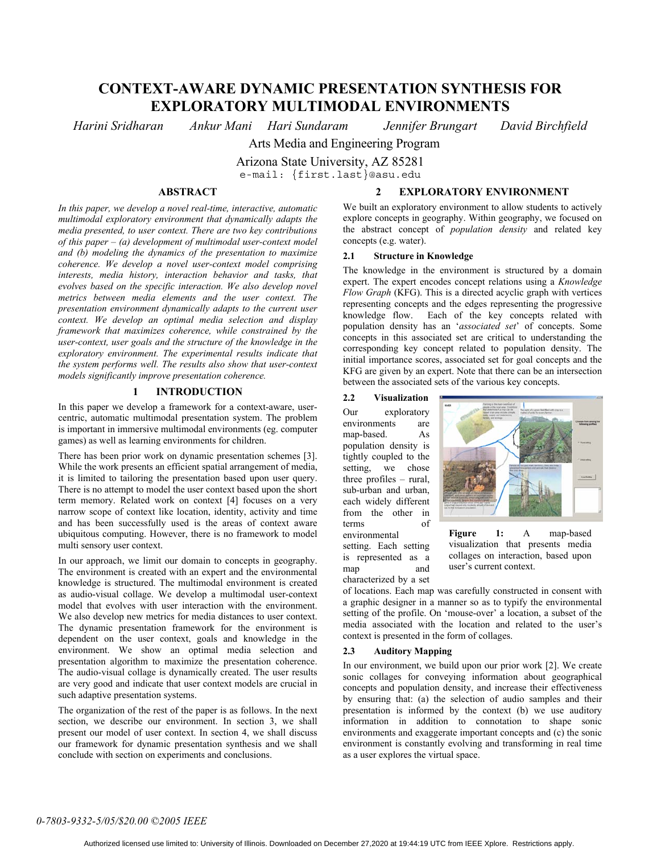# **CONTEXT-AWARE DYNAMIC PRESENTATION SYNTHESIS FOR EXPLORATORY MULTIMODAL ENVIRONMENTS**

*Harini Sridharan Ankur Mani Hari Sundaram Jennifer Brungart David Birchfield* 

Arts Media and Engineering Program

Arizona State University, AZ 85281 e-mail: {first.last}@asu.edu

## **ABSTRACT**

**2 EXPLORATORY ENVIRONMENT** 

*In this paper, we develop a novel real-time, interactive, automatic multimodal exploratory environment that dynamically adapts the media presented, to user context. There are two key contributions of this paper – (a) development of multimodal user-context model and (b) modeling the dynamics of the presentation to maximize coherence. We develop a novel user-context model comprising interests, media history, interaction behavior and tasks, that evolves based on the specific interaction. We also develop novel metrics between media elements and the user context. The presentation environment dynamically adapts to the current user context. We develop an optimal media selection and display framework that maximizes coherence, while constrained by the user-context, user goals and the structure of the knowledge in the exploratory environment. The experimental results indicate that the system performs well. The results also show that user-context models significantly improve presentation coherence.* 

# **1 INTRODUCTION**

In this paper we develop a framework for a context-aware, usercentric, automatic multimodal presentation system. The problem is important in immersive multimodal environments (eg. computer games) as well as learning environments for children.

There has been prior work on dynamic presentation schemes [3]. While the work presents an efficient spatial arrangement of media, it is limited to tailoring the presentation based upon user query. There is no attempt to model the user context based upon the short term memory. Related work on context [4] focuses on a very narrow scope of context like location, identity, activity and time and has been successfully used is the areas of context aware ubiquitous computing. However, there is no framework to model multi sensory user context.

In our approach, we limit our domain to concepts in geography. The environment is created with an expert and the environmental knowledge is structured. The multimodal environment is created as audio-visual collage. We develop a multimodal user-context model that evolves with user interaction with the environment. We also develop new metrics for media distances to user context. The dynamic presentation framework for the environment is dependent on the user context, goals and knowledge in the environment. We show an optimal media selection and presentation algorithm to maximize the presentation coherence. The audio-visual collage is dynamically created. The user results are very good and indicate that user context models are crucial in such adaptive presentation systems.

The organization of the rest of the paper is as follows. In the next section, we describe our environment. In section 3, we shall present our model of user context. In section 4, we shall discuss our framework for dynamic presentation synthesis and we shall conclude with section on experiments and conclusions.

We built an exploratory environment to allow students to actively explore concepts in geography. Within geography, we focused on the abstract concept of *population density* and related key concepts (e.g. water).

### **2.1 Structure in Knowledge**

The knowledge in the environment is structured by a domain expert. The expert encodes concept relations using a *Knowledge Flow Graph* (KFG). This is a directed acyclic graph with vertices representing concepts and the edges representing the progressive knowledge flow. Each of the key concepts related with population density has an '*associated set*' of concepts. Some concepts in this associated set are critical to understanding the corresponding key concept related to population density. The initial importance scores, associated set for goal concepts and the KFG are given by an expert. Note that there can be an intersection between the associated sets of the various key concepts.

### **2.2 Visualization**

Our exploratory environments are map-based. As population density is tightly coupled to the setting, we chose three profiles – rural, sub-urban and urban, each widely different from the other in terms of environmental setting. Each setting

is represented as a map and characterized by a set



Figure 1: A map-based visualization that presents media collages on interaction, based upon user's current context.

of locations. Each map was carefully constructed in consent with a graphic designer in a manner so as to typify the environmental setting of the profile. On 'mouse-over' a location, a subset of the media associated with the location and related to the user's context is presented in the form of collages.

### **2.3 Auditory Mapping**

In our environment, we build upon our prior work [2]. We create sonic collages for conveying information about geographical concepts and population density, and increase their effectiveness by ensuring that: (a) the selection of audio samples and their presentation is informed by the context (b) we use auditory information in addition to connotation to shape sonic environments and exaggerate important concepts and (c) the sonic environment is constantly evolving and transforming in real time as a user explores the virtual space.

### *0-7803-9332-5/05/\$20.00 ©2005 IEEE*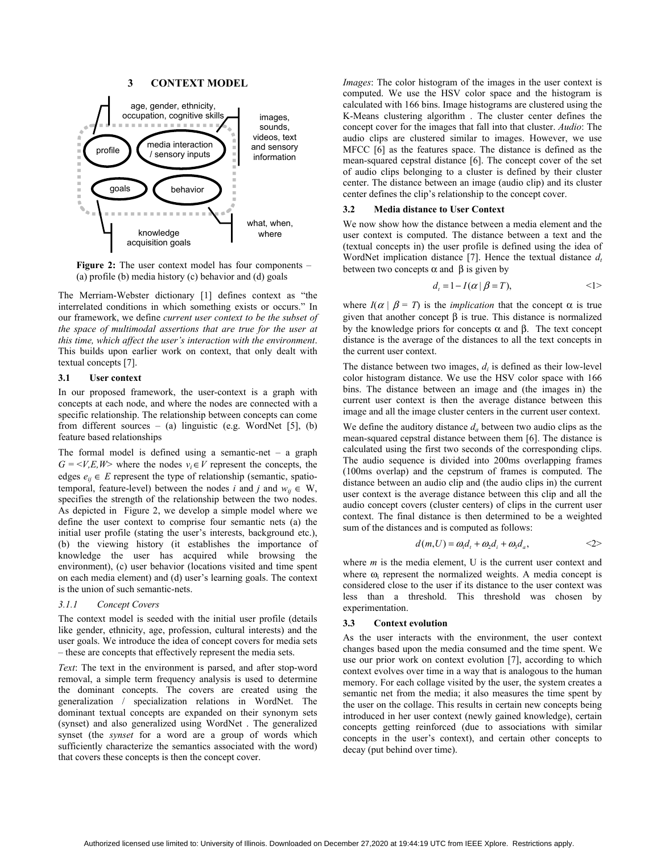## **3 CONTEXT MODEL**



Figure 2: The user context model has four components – (a) profile (b) media history (c) behavior and (d) goals

The Merriam-Webster dictionary [1] defines context as "the interrelated conditions in which something exists or occurs." In our framework, we define *current user context to be the subset of the space of multimodal assertions that are true for the user at this time, which affect the user's interaction with the environment*. This builds upon earlier work on context, that only dealt with textual concepts [7].

#### **3.1 User context**

In our proposed framework, the user-context is a graph with concepts at each node, and where the nodes are connected with a specific relationship. The relationship between concepts can come from different sources – (a) linguistic (e.g. WordNet [5], (b) feature based relationships

The formal model is defined using a semantic-net  $-$  a graph  $G = \langle V, E, W \rangle$  where the nodes  $v_i \in V$  represent the concepts, the edges  $e_{ii} \in E$  represent the type of relationship (semantic, spatiotemporal, feature-level) between the nodes *i* and *j* and  $w_{ii} \in W$ , specifies the strength of the relationship between the two nodes. As depicted in Figure 2, we develop a simple model where we define the user context to comprise four semantic nets (a) the initial user profile (stating the user's interests, background etc.), (b) the viewing history (it establishes the importance of knowledge the user has acquired while browsing the environment), (c) user behavior (locations visited and time spent on each media element) and (d) user's learning goals. The context is the union of such semantic-nets.

#### *3.1.1 Concept Covers*

The context model is seeded with the initial user profile (details like gender, ethnicity, age, profession, cultural interests) and the user goals. We introduce the idea of concept covers for media sets – these are concepts that effectively represent the media sets.

*Text*: The text in the environment is parsed, and after stop-word removal, a simple term frequency analysis is used to determine the dominant concepts. The covers are created using the generalization / specialization relations in WordNet. The dominant textual concepts are expanded on their synonym sets (synset) and also generalized using WordNet . The generalized synset (the *synset* for a word are a group of words which sufficiently characterize the semantics associated with the word) that covers these concepts is then the concept cover.

*Images*: The color histogram of the images in the user context is computed. We use the HSV color space and the histogram is calculated with 166 bins. Image histograms are clustered using the K-Means clustering algorithm . The cluster center defines the concept cover for the images that fall into that cluster. *Audio*: The audio clips are clustered similar to images. However, we use MFCC [6] as the features space. The distance is defined as the mean-squared cepstral distance [6]. The concept cover of the set of audio clips belonging to a cluster is defined by their cluster center. The distance between an image (audio clip) and its cluster center defines the clip's relationship to the concept cover.

#### **3.2 Media distance to User Context**

We now show how the distance between a media element and the user context is computed. The distance between a text and the (textual concepts in) the user profile is defined using the idea of WordNet implication distance  $[7]$ . Hence the textual distance  $d_t$ between two concepts  $\alpha$  and  $\beta$  is given by

$$
d_t = 1 - I(\alpha \mid \beta = T), \qquad \qquad <1>
$$

where  $I(\alpha \mid \beta = T)$  is the *implication* that the concept  $\alpha$  is true given that another concept  $β$  is true. This distance is normalized by the knowledge priors for concepts  $\alpha$  and  $\beta$ . The text concept distance is the average of the distances to all the text concepts in the current user context.

The distance between two images, *di* is defined as their low-level color histogram distance. We use the HSV color space with 166 bins. The distance between an image and (the images in) the current user context is then the average distance between this image and all the image cluster centers in the current user context.

We define the auditory distance  $d_a$  between two audio clips as the mean-squared cepstral distance between them [6]. The distance is calculated using the first two seconds of the corresponding clips. The audio sequence is divided into 200ms overlapping frames (100ms overlap) and the cepstrum of frames is computed. The distance between an audio clip and (the audio clips in) the current user context is the average distance between this clip and all the audio concept covers (cluster centers) of clips in the current user context. The final distance is then determined to be a weighted sum of the distances and is computed as follows:

$$
d(m,U) = \omega_1 d_t + \omega_2 d_i + \omega_3 d_a, \qquad \qquad \leq 2>
$$

where *m* is the media element, U is the current user context and where  $\omega_i$  represent the normalized weights. A media concept is considered close to the user if its distance to the user context was less than a threshold. This threshold was chosen by experimentation.

#### **3.3 Context evolution**

As the user interacts with the environment, the user context changes based upon the media consumed and the time spent. We use our prior work on context evolution [7], according to which context evolves over time in a way that is analogous to the human memory. For each collage visited by the user, the system creates a semantic net from the media; it also measures the time spent by the user on the collage. This results in certain new concepts being introduced in her user context (newly gained knowledge), certain concepts getting reinforced (due to associations with similar concepts in the user's context), and certain other concepts to decay (put behind over time).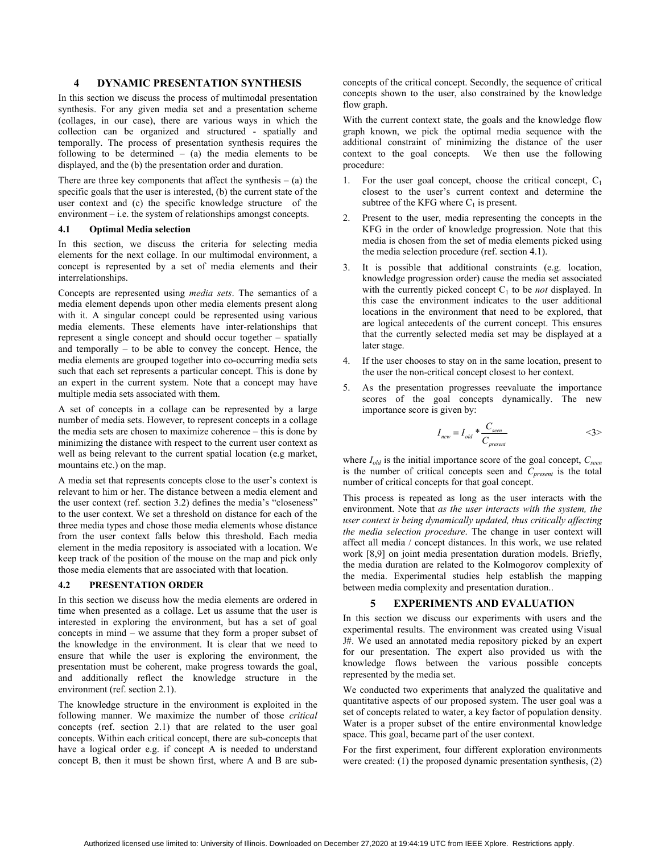## **4 DYNAMIC PRESENTATION SYNTHESIS**

In this section we discuss the process of multimodal presentation synthesis. For any given media set and a presentation scheme (collages, in our case), there are various ways in which the collection can be organized and structured - spatially and temporally. The process of presentation synthesis requires the following to be determined  $-$  (a) the media elements to be displayed, and the (b) the presentation order and duration.

There are three key components that affect the synthesis  $-$  (a) the specific goals that the user is interested, (b) the current state of the user context and (c) the specific knowledge structure of the environment – i.e. the system of relationships amongst concepts.

#### **4.1 Optimal Media selection**

In this section, we discuss the criteria for selecting media elements for the next collage. In our multimodal environment, a concept is represented by a set of media elements and their interrelationships.

Concepts are represented using *media sets*. The semantics of a media element depends upon other media elements present along with it. A singular concept could be represented using various media elements. These elements have inter-relationships that represent a single concept and should occur together – spatially and temporally  $-$  to be able to convey the concept. Hence, the media elements are grouped together into co-occurring media sets such that each set represents a particular concept. This is done by an expert in the current system. Note that a concept may have multiple media sets associated with them.

A set of concepts in a collage can be represented by a large number of media sets. However, to represent concepts in a collage the media sets are chosen to maximize coherence – this is done by minimizing the distance with respect to the current user context as well as being relevant to the current spatial location (e.g market, mountains etc.) on the map.

A media set that represents concepts close to the user's context is relevant to him or her. The distance between a media element and the user context (ref. section 3.2) defines the media's "closeness" to the user context. We set a threshold on distance for each of the three media types and chose those media elements whose distance from the user context falls below this threshold. Each media element in the media repository is associated with a location. We keep track of the position of the mouse on the map and pick only those media elements that are associated with that location.

#### **4.2 PRESENTATION ORDER**

In this section we discuss how the media elements are ordered in time when presented as a collage. Let us assume that the user is interested in exploring the environment, but has a set of goal concepts in mind – we assume that they form a proper subset of the knowledge in the environment. It is clear that we need to ensure that while the user is exploring the environment, the presentation must be coherent, make progress towards the goal, and additionally reflect the knowledge structure in the environment (ref. section 2.1).

The knowledge structure in the environment is exploited in the following manner. We maximize the number of those *critical* concepts (ref. section 2.1) that are related to the user goal concepts. Within each critical concept, there are sub-concepts that have a logical order e.g. if concept A is needed to understand concept B, then it must be shown first, where A and B are subconcepts of the critical concept. Secondly, the sequence of critical concepts shown to the user, also constrained by the knowledge flow graph.

With the current context state, the goals and the knowledge flow graph known, we pick the optimal media sequence with the additional constraint of minimizing the distance of the user context to the goal concepts. We then use the following procedure:

- 1. For the user goal concept, choose the critical concept,  $C_1$ closest to the user's current context and determine the subtree of the KFG where  $C_1$  is present.
- 2. Present to the user, media representing the concepts in the KFG in the order of knowledge progression. Note that this media is chosen from the set of media elements picked using the media selection procedure (ref. section 4.1).
- 3. It is possible that additional constraints (e.g. location, knowledge progression order) cause the media set associated with the currently picked concept  $C_1$  to be *not* displayed. In this case the environment indicates to the user additional locations in the environment that need to be explored, that are logical antecedents of the current concept. This ensures that the currently selected media set may be displayed at a later stage.
- 4. If the user chooses to stay on in the same location, present to the user the non-critical concept closest to her context.
- 5. As the presentation progresses reevaluate the importance scores of the goal concepts dynamically. The new importance score is given by:

$$
I_{new} = I_{old} * \frac{C_{seen}}{C_{present}} \qquad \qquad \Longleftrightarrow
$$

where *Iold* is the initial importance score of the goal concept, *Cseen* is the number of critical concepts seen and *C*<sub>present</sub> is the total number of critical concepts for that goal concept.

This process is repeated as long as the user interacts with the environment. Note that *as the user interacts with the system, the user context is being dynamically updated, thus critically affecting the media selection procedure*. The change in user context will affect all media / concept distances. In this work, we use related work [8,9] on joint media presentation duration models. Briefly, the media duration are related to the Kolmogorov complexity of the media. Experimental studies help establish the mapping between media complexity and presentation duration..

#### **5 EXPERIMENTS AND EVALUATION**

In this section we discuss our experiments with users and the experimental results. The environment was created using Visual J#. We used an annotated media repository picked by an expert for our presentation. The expert also provided us with the knowledge flows between the various possible concepts represented by the media set.

We conducted two experiments that analyzed the qualitative and quantitative aspects of our proposed system. The user goal was a set of concepts related to water, a key factor of population density. Water is a proper subset of the entire environmental knowledge space. This goal, became part of the user context.

For the first experiment, four different exploration environments were created: (1) the proposed dynamic presentation synthesis, (2)